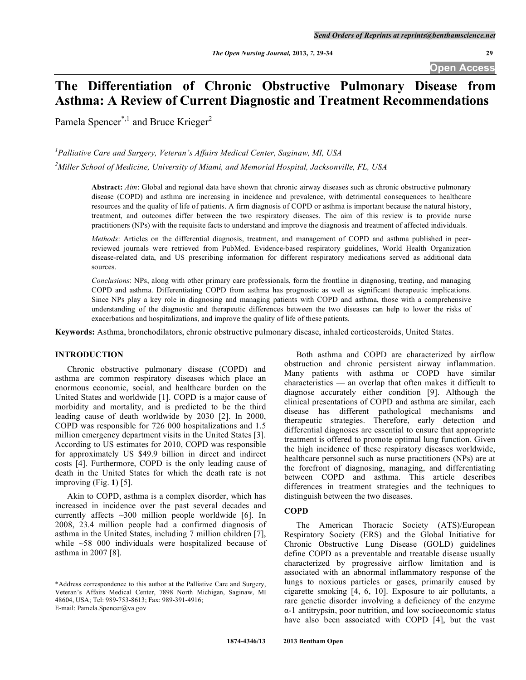**Open Access** 

# **The Differentiation of Chronic Obstructive Pulmonary Disease from Asthma: A Review of Current Diagnostic and Treatment Recommendations**

Pamela Spencer<sup>\*,1</sup> and Bruce Krieger<sup>2</sup>

*1 Palliative Care and Surgery, Veteran's Affairs Medical Center, Saginaw, MI, USA 2 Miller School of Medicine, University of Miami, and Memorial Hospital, Jacksonville, FL, USA* 

> **Abstract:** *Aim*: Global and regional data have shown that chronic airway diseases such as chronic obstructive pulmonary disease (COPD) and asthma are increasing in incidence and prevalence, with detrimental consequences to healthcare resources and the quality of life of patients. A firm diagnosis of COPD or asthma is important because the natural history, treatment, and outcomes differ between the two respiratory diseases. The aim of this review is to provide nurse practitioners (NPs) with the requisite facts to understand and improve the diagnosis and treatment of affected individuals.

> *Methods*: Articles on the differential diagnosis, treatment, and management of COPD and asthma published in peerreviewed journals were retrieved from PubMed. Evidence-based respiratory guidelines, World Health Organization disease-related data, and US prescribing information for different respiratory medications served as additional data sources.

> *Conclusions*: NPs, along with other primary care professionals, form the frontline in diagnosing, treating, and managing COPD and asthma. Differentiating COPD from asthma has prognostic as well as significant therapeutic implications. Since NPs play a key role in diagnosing and managing patients with COPD and asthma, those with a comprehensive understanding of the diagnostic and therapeutic differences between the two diseases can help to lower the risks of exacerbations and hospitalizations, and improve the quality of life of these patients.

**Keywords:** Asthma, bronchodilators, chronic obstructive pulmonary disease, inhaled corticosteroids, United States.

# **INTRODUCTION**

 Chronic obstructive pulmonary disease (COPD) and asthma are common respiratory diseases which place an enormous economic, social, and healthcare burden on the United States and worldwide [1]. COPD is a major cause of morbidity and mortality, and is predicted to be the third leading cause of death worldwide by 2030 [2]. In 2000, COPD was responsible for 726 000 hospitalizations and 1.5 million emergency department visits in the United States [3]. According to US estimates for 2010, COPD was responsible for approximately US \$49.9 billion in direct and indirect costs [4]. Furthermore, COPD is the only leading cause of death in the United States for which the death rate is not improving (Fig. **1**) [5].

 Akin to COPD, asthma is a complex disorder, which has increased in incidence over the past several decades and currently affects ~300 million people worldwide [6]. In 2008, 23.4 million people had a confirmed diagnosis of asthma in the United States, including 7 million children [7], while ~58 000 individuals were hospitalized because of asthma in 2007 [8].

 Both asthma and COPD are characterized by airflow obstruction and chronic persistent airway inflammation. Many patients with asthma or COPD have similar characteristics — an overlap that often makes it difficult to diagnose accurately either condition [9]. Although the clinical presentations of COPD and asthma are similar, each disease has different pathological mechanisms and therapeutic strategies. Therefore, early detection and differential diagnoses are essential to ensure that appropriate treatment is offered to promote optimal lung function. Given the high incidence of these respiratory diseases worldwide, healthcare personnel such as nurse practitioners (NPs) are at the forefront of diagnosing, managing, and differentiating between COPD and asthma. This article describes differences in treatment strategies and the techniques to distinguish between the two diseases.

# **COPD**

 The American Thoracic Society (ATS)/European Respiratory Society (ERS) and the Global Initiative for Chronic Obstructive Lung Disease (GOLD) guidelines define COPD as a preventable and treatable disease usually characterized by progressive airflow limitation and is associated with an abnormal inflammatory response of the lungs to noxious particles or gases, primarily caused by cigarette smoking [4, 6, 10]. Exposure to air pollutants, a rare genetic disorder involving a deficiency of the enzyme  $\alpha$ -1 antitrypsin, poor nutrition, and low socioeconomic status have also been associated with COPD [4], but the vast

<sup>\*</sup>Address correspondence to this author at the Palliative Care and Surgery, Veteran's Affairs Medical Center, 7898 North Michigan, Saginaw, MI 48604, USA; Tel: 989-753-8613; Fax: 989-391-4916; E-mail: Pamela.Spencer@va.gov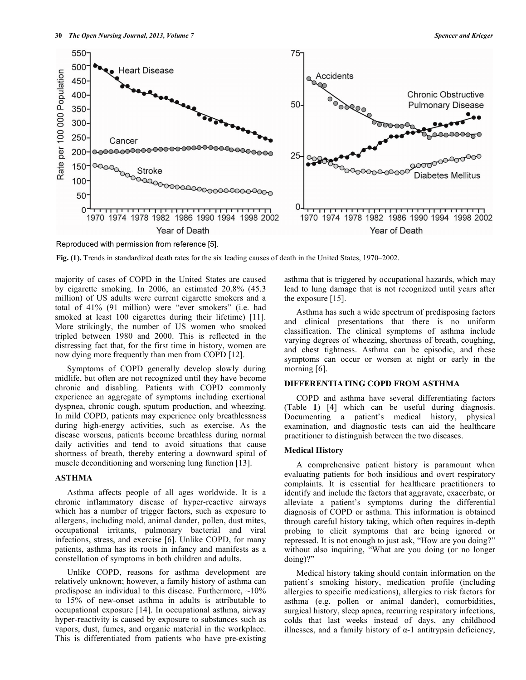

Reproduced with permission from reference [5].

**Fig. (1).** Trends in standardized death rates for the six leading causes of death in the United States, 1970–2002.

majority of cases of COPD in the United States are caused by cigarette smoking. In 2006, an estimated 20.8% (45.3 million) of US adults were current cigarette smokers and a total of 41% (91 million) were "ever smokers" (i.e. had smoked at least 100 cigarettes during their lifetime) [11]. More strikingly, the number of US women who smoked tripled between 1980 and 2000. This is reflected in the distressing fact that, for the first time in history, women are now dying more frequently than men from COPD [12].

 Symptoms of COPD generally develop slowly during midlife, but often are not recognized until they have become chronic and disabling. Patients with COPD commonly experience an aggregate of symptoms including exertional dyspnea, chronic cough, sputum production, and wheezing. In mild COPD, patients may experience only breathlessness during high-energy activities, such as exercise. As the disease worsens, patients become breathless during normal daily activities and tend to avoid situations that cause shortness of breath, thereby entering a downward spiral of muscle deconditioning and worsening lung function [13].

# **ASTHMA**

 Asthma affects people of all ages worldwide. It is a chronic inflammatory disease of hyper-reactive airways which has a number of trigger factors, such as exposure to allergens, including mold, animal dander, pollen, dust mites, occupational irritants, pulmonary bacterial and viral infections, stress, and exercise [6]. Unlike COPD, for many patients, asthma has its roots in infancy and manifests as a constellation of symptoms in both children and adults.

 Unlike COPD, reasons for asthma development are relatively unknown; however, a family history of asthma can predispose an individual to this disease. Furthermore,  $\sim 10\%$ to 15% of new-onset asthma in adults is attributable to occupational exposure [14]. In occupational asthma, airway hyper-reactivity is caused by exposure to substances such as vapors, dust, fumes, and organic material in the workplace. This is differentiated from patients who have pre-existing asthma that is triggered by occupational hazards, which may lead to lung damage that is not recognized until years after the exposure [15].

 Asthma has such a wide spectrum of predisposing factors and clinical presentations that there is no uniform classification. The clinical symptoms of asthma include varying degrees of wheezing, shortness of breath, coughing, and chest tightness. Asthma can be episodic, and these symptoms can occur or worsen at night or early in the morning [6].

# **DIFFERENTIATING COPD FROM ASTHMA**

 COPD and asthma have several differentiating factors (Table **1**) [4] which can be useful during diagnosis. Documenting a patient's medical history, physical examination, and diagnostic tests can aid the healthcare practitioner to distinguish between the two diseases.

#### **Medical History**

 A comprehensive patient history is paramount when evaluating patients for both insidious and overt respiratory complaints. It is essential for healthcare practitioners to identify and include the factors that aggravate, exacerbate, or alleviate a patient's symptoms during the differential diagnosis of COPD or asthma. This information is obtained through careful history taking, which often requires in-depth probing to elicit symptoms that are being ignored or repressed. It is not enough to just ask, "How are you doing?" without also inquiring, "What are you doing (or no longer doing)?"

 Medical history taking should contain information on the patient's smoking history, medication profile (including allergies to specific medications), allergies to risk factors for asthma (e.g. pollen or animal dander), comorbidities, surgical history, sleep apnea, recurring respiratory infections, colds that last weeks instead of days, any childhood illnesses, and a family history of  $\alpha$ -1 antitrypsin deficiency,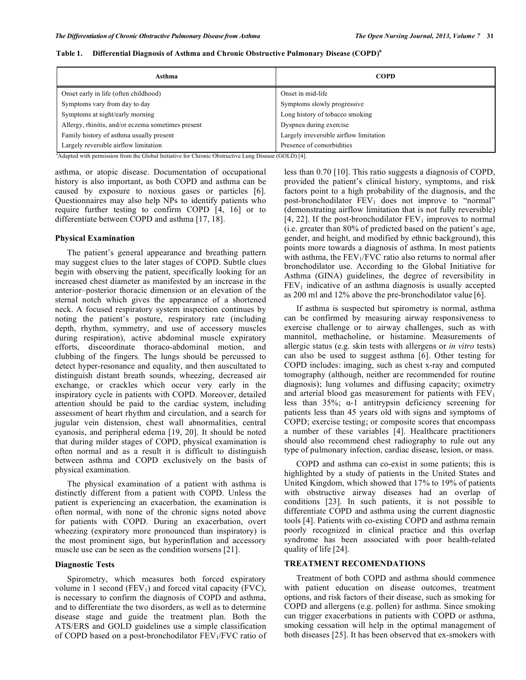| Asthma                                             | <b>COPD</b>                             |
|----------------------------------------------------|-----------------------------------------|
| Onset early in life (often childhood)              | Onset in mid-life                       |
| Symptoms vary from day to day                      | Symptoms slowly progressive             |
| Symptoms at night/early morning                    | Long history of tobacco smoking         |
| Allergy, rhinitis, and/or eczema sometimes present | Dyspnea during exercise                 |
| Family history of asthma usually present           | Largely irreversible airflow limitation |
| Largely reversible airflow limitation              | Presence of comorbidities               |

**Table 1. Differential Diagnosis of Asthma and Chronic Obstructive Pulmonary Disease (COPD)a**

<sup>a</sup>Adapted with permission from the Global Initiative for Chronic Obstructive Lung Disease (GOLD) [4].

asthma, or atopic disease. Documentation of occupational history is also important, as both COPD and asthma can be caused by exposure to noxious gases or particles [6]. Questionnaires may also help NPs to identify patients who require further testing to confirm COPD [4, 16] or to differentiate between COPD and asthma [17, 18].

# **Physical Examination**

 The patient's general appearance and breathing pattern may suggest clues to the later stages of COPD. Subtle clues begin with observing the patient, specifically looking for an increased chest diameter as manifested by an increase in the anterior–posterior thoracic dimension or an elevation of the sternal notch which gives the appearance of a shortened neck. A focused respiratory system inspection continues by noting the patient's posture, respiratory rate (including depth, rhythm, symmetry, and use of accessory muscles during respiration), active abdominal muscle expiratory efforts, discoordinate thoraco-abdominal motion, and clubbing of the fingers. The lungs should be percussed to detect hyper-resonance and equality, and then auscultated to distinguish distant breath sounds, wheezing, decreased air exchange, or crackles which occur very early in the inspiratory cycle in patients with COPD. Moreover, detailed attention should be paid to the cardiac system, including assessment of heart rhythm and circulation, and a search for jugular vein distension, chest wall abnormalities, central cyanosis, and peripheral edema [19, 20]. It should be noted that during milder stages of COPD, physical examination is often normal and as a result it is difficult to distinguish between asthma and COPD exclusively on the basis of physical examination.

 The physical examination of a patient with asthma is distinctly different from a patient with COPD. Unless the patient is experiencing an exacerbation, the examination is often normal, with none of the chronic signs noted above for patients with COPD. During an exacerbation, overt wheezing (expiratory more pronounced than inspiratory) is the most prominent sign, but hyperinflation and accessory muscle use can be seen as the condition worsens [21].

# **Diagnostic Tests**

 Spirometry, which measures both forced expiratory volume in 1 second  $(FEV_1)$  and forced vital capacity  $(FVC)$ , is necessary to confirm the diagnosis of COPD and asthma, and to differentiate the two disorders, as well as to determine disease stage and guide the treatment plan. Both the ATS/ERS and GOLD guidelines use a simple classification of COPD based on a post-bronchodilator FEV<sub>1</sub>/FVC ratio of less than 0.70 [10]. This ratio suggests a diagnosis of COPD, provided the patient's clinical history, symptoms, and risk factors point to a high probability of the diagnosis, and the post-bronchodilator  $FEV<sub>1</sub>$  does not improve to "normal" (demonstrating airflow limitation that is not fully reversible) [4, 22]. If the post-bronchodilator  $FEV_1$  improves to normal (i.e. greater than 80% of predicted based on the patient's age, gender, and height, and modified by ethnic background), this points more towards a diagnosis of asthma. In most patients with asthma, the  $FEV<sub>1</sub>/FVC$  ratio also returns to normal after bronchodilator use. According to the Global Initiative for Asthma (GINA) guidelines, the degree of reversibility in  $FEV<sub>1</sub>$  indicative of an asthma diagnosis is usually accepted as 200 ml and 12% above the pre-bronchodilator value [6].

 If asthma is suspected but spirometry is normal, asthma can be confirmed by measuring airway responsiveness to exercise challenge or to airway challenges, such as with mannitol, methacholine, or histamine. Measurements of allergic status (e.g. skin tests with allergens or *in vitro* tests) can also be used to suggest asthma [6]. Other testing for COPD includes: imaging, such as chest x-ray and computed tomography (although, neither are recommended for routine diagnosis); lung volumes and diffusing capacity; oximetry and arterial blood gas measurement for patients with  $FEV<sub>1</sub>$ less than  $35\%$ ;  $\alpha$ -1 antitrypsin deficiency screening for patients less than 45 years old with signs and symptoms of COPD; exercise testing; or composite scores that encompass a number of these variables [4]. Healthcare practitioners should also recommend chest radiography to rule out any type of pulmonary infection, cardiac disease, lesion, or mass.

 COPD and asthma can co-exist in some patients; this is highlighted by a study of patients in the United States and United Kingdom, which showed that 17% to 19% of patients with obstructive airway diseases had an overlap of conditions [23]. In such patients, it is not possible to differentiate COPD and asthma using the current diagnostic tools [4]. Patients with co-existing COPD and asthma remain poorly recognized in clinical practice and this overlap syndrome has been associated with poor health-related quality of life [24].

#### **TREATMENT RECOMENDATIONS**

 Treatment of both COPD and asthma should commence with patient education on disease outcomes, treatment options, and risk factors of their disease, such as smoking for COPD and allergens (e.g. pollen) for asthma. Since smoking can trigger exacerbations in patients with COPD or asthma, smoking cessation will help in the optimal management of both diseases [25]. It has been observed that ex-smokers with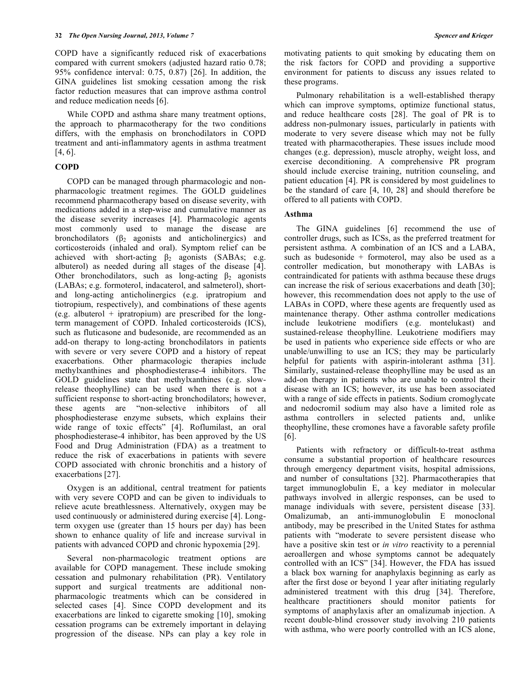COPD have a significantly reduced risk of exacerbations compared with current smokers (adjusted hazard ratio 0.78; 95% confidence interval: 0.75, 0.87) [26]. In addition, the GINA guidelines list smoking cessation among the risk factor reduction measures that can improve asthma control and reduce medication needs [6].

 While COPD and asthma share many treatment options, the approach to pharmacotherapy for the two conditions differs, with the emphasis on bronchodilators in COPD treatment and anti-inflammatory agents in asthma treatment [4, 6].

# **COPD**

 COPD can be managed through pharmacologic and nonpharmacologic treatment regimes. The GOLD guidelines recommend pharmacotherapy based on disease severity, with medications added in a step-wise and cumulative manner as the disease severity increases [4]. Pharmacologic agents most commonly used to manage the disease are bronchodilators  $(\beta_2)$  agonists and anticholinergics) and corticosteroids (inhaled and oral). Symptom relief can be achieved with short-acting  $\beta_2$  agonists (SABAs; e.g. albuterol) as needed during all stages of the disease [4]. Other bronchodilators, such as long-acting  $\beta_2$  agonists (LABAs; e.g. formoterol, indacaterol, and salmeterol), shortand long-acting anticholinergics (e.g. ipratropium and tiotropium, respectively), and combinations of these agents (e.g. albuterol  $+$  ipratropium) are prescribed for the longterm management of COPD. Inhaled corticosteroids (ICS), such as fluticasone and budesonide, are recommended as an add-on therapy to long-acting bronchodilators in patients with severe or very severe COPD and a history of repeat exacerbations. Other pharmacologic therapies include methylxanthines and phosphodiesterase-4 inhibitors. The GOLD guidelines state that methylxanthines (e.g. slowrelease theophylline) can be used when there is not a sufficient response to short-acting bronchodilators; however, these agents are "non-selective inhibitors of all phosphodiesterase enzyme subsets, which explains their wide range of toxic effects" [4]. Roflumilast, an oral phosphodiesterase-4 inhibitor, has been approved by the US Food and Drug Administration (FDA) as a treatment to reduce the risk of exacerbations in patients with severe COPD associated with chronic bronchitis and a history of exacerbations [27].

 Oxygen is an additional, central treatment for patients with very severe COPD and can be given to individuals to relieve acute breathlessness. Alternatively, oxygen may be used continuously or administered during exercise [4]. Longterm oxygen use (greater than 15 hours per day) has been shown to enhance quality of life and increase survival in patients with advanced COPD and chronic hypoxemia [29].

 Several non-pharmacologic treatment options are available for COPD management. These include smoking cessation and pulmonary rehabilitation (PR). Ventilatory support and surgical treatments are additional nonpharmacologic treatments which can be considered in selected cases [4]. Since COPD development and its exacerbations are linked to cigarette smoking [10], smoking cessation programs can be extremely important in delaying progression of the disease. NPs can play a key role in

motivating patients to quit smoking by educating them on the risk factors for COPD and providing a supportive environment for patients to discuss any issues related to these programs.

 Pulmonary rehabilitation is a well-established therapy which can improve symptoms, optimize functional status, and reduce healthcare costs [28]. The goal of PR is to address non-pulmonary issues, particularly in patients with moderate to very severe disease which may not be fully treated with pharmacotherapies. These issues include mood changes (e.g. depression), muscle atrophy, weight loss, and exercise deconditioning. A comprehensive PR program should include exercise training, nutrition counseling, and patient education [4]. PR is considered by most guidelines to be the standard of care [4, 10, 28] and should therefore be offered to all patients with COPD.

# **Asthma**

 The GINA guidelines [6] recommend the use of controller drugs, such as ICSs, as the preferred treatment for persistent asthma. A combination of an ICS and a LABA, such as budesonide + formoterol, may also be used as a controller medication, but monotherapy with LABAs is contraindicated for patients with asthma because these drugs can increase the risk of serious exacerbations and death [30]; however, this recommendation does not apply to the use of LABAs in COPD, where these agents are frequently used as maintenance therapy. Other asthma controller medications include leukotriene modifiers (e.g. montelukast) and sustained-release theophylline. Leukotriene modifiers may be used in patients who experience side effects or who are unable/unwilling to use an ICS; they may be particularly helpful for patients with aspirin-intolerant asthma [31]. Similarly, sustained-release theophylline may be used as an add-on therapy in patients who are unable to control their disease with an ICS; however, its use has been associated with a range of side effects in patients. Sodium cromoglycate and nedocromil sodium may also have a limited role as asthma controllers in selected patients and, unlike theophylline, these cromones have a favorable safety profile [6].

 Patients with refractory or difficult-to-treat asthma consume a substantial proportion of healthcare resources through emergency department visits, hospital admissions, and number of consultations [32]. Pharmacotherapies that target immunoglobulin E, a key mediator in molecular pathways involved in allergic responses, can be used to manage individuals with severe, persistent disease [33]. Omalizumab, an anti-immunoglobulin E monoclonal antibody, may be prescribed in the United States for asthma patients with "moderate to severe persistent disease who have a positive skin test or *in vitro* reactivity to a perennial aeroallergen and whose symptoms cannot be adequately controlled with an ICS" [34]. However, the FDA has issued a black box warning for anaphylaxis beginning as early as after the first dose or beyond 1 year after initiating regularly administered treatment with this drug [34]. Therefore, healthcare practitioners should monitor patients for symptoms of anaphylaxis after an omalizumab injection. A recent double-blind crossover study involving 210 patients with asthma, who were poorly controlled with an ICS alone,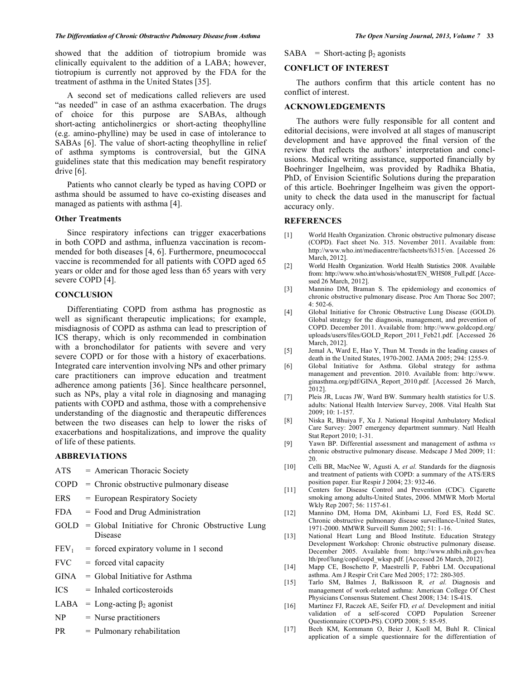showed that the addition of tiotropium bromide was clinically equivalent to the addition of a LABA; however, tiotropium is currently not approved by the FDA for the treatment of asthma in the United States [35].

 A second set of medications called relievers are used "as needed" in case of an asthma exacerbation. The drugs of choice for this purpose are SABAs, although short-acting anticholinergics or short-acting theophylline (e.g. amino-phylline) may be used in case of intolerance to SABAs [6]. The value of short-acting theophylline in relief of asthma symptoms is controversial, but the GINA guidelines state that this medication may benefit respiratory drive [6].

 Patients who cannot clearly be typed as having COPD or asthma should be assumed to have co-existing diseases and managed as patients with asthma [4].

#### **Other Treatments**

 Since respiratory infections can trigger exacerbations in both COPD and asthma, influenza vaccination is recommended for both diseases [4, 6]. Furthermore, pneumococcal vaccine is recommended for all patients with COPD aged 65 years or older and for those aged less than 65 years with very severe COPD [4].

# **CONCLUSION**

 Differentiating COPD from asthma has prognostic as well as significant therapeutic implications; for example, misdiagnosis of COPD as asthma can lead to prescription of ICS therapy, which is only recommended in combination with a bronchodilator for patients with severe and very severe COPD or for those with a history of exacerbations. Integrated care intervention involving NPs and other primary care practitioners can improve education and treatment adherence among patients [36]. Since healthcare personnel, such as NPs, play a vital role in diagnosing and managing patients with COPD and asthma, those with a comprehensive understanding of the diagnostic and therapeutic differences between the two diseases can help to lower the risks of exacerbations and hospitalizations, and improve the quality of life of these patients.

# **ABBREVIATIONS**

| ATS              | = American Thoracic Society                                 |
|------------------|-------------------------------------------------------------|
| COPD             | $=$ Chronic obstructive pulmonary disease                   |
| ERS              | = European Respiratory Society                              |
| <b>FDA</b>       | $=$ Food and Drug Administration                            |
| GOLD             | = Global Initiative for Chronic Obstructive Lung<br>Disease |
| FEV <sub>1</sub> | $=$ forced expiratory volume in 1 second                    |
|                  | $FVC = forced vital capacity$                               |
| GINA             | $=$ Global Initiative for Asthma                            |
| ICS              | $=$ Inhaled corticosteroids                                 |
| LABA             | = Long-acting $\beta_2$ agonist                             |
| NP               | $=$ Nurse practitioners                                     |
|                  |                                                             |

PR = Pulmonary rehabilitation

#### $SABA = Short-acting \beta_2$  agonists

# **CONFLICT OF INTEREST**

 The authors confirm that this article content has no conflict of interest.

# **ACKNOWLEDGEMENTS**

 The authors were fully responsible for all content and editorial decisions, were involved at all stages of manuscript development and have approved the final version of the review that reflects the authors' interpretation and conclusions. Medical writing assistance, supported financially by Boehringer Ingelheim, was provided by Radhika Bhatia, PhD, of Envision Scientific Solutions during the preparation of this article. Boehringer Ingelheim was given the opportunity to check the data used in the manuscript for factual accuracy only.

#### **REFERENCES**

- [1] World Health Organization. Chronic obstructive pulmonary disease (COPD). Fact sheet No. 315. November 2011. Available from: http://www.who.int/mediacentre/factsheets/fs315/en. [Accessed 26 March, 2012].
- [2] World Health Organization. World Health Statistics 2008. Available from: http://www.who.int/whosis/whostat/EN\_WHS08\_Full.pdf. [Accessed 26 March, 2012].
- [3] Mannino DM, Braman S. The epidemiology and economics of chronic obstructive pulmonary disease. Proc Am Thorac Soc 2007; 4: 502-6.
- [4] Global Initiative for Chronic Obstructive Lung Disease (GOLD). Global strategy for the diagnosis, management, and prevention of COPD. December 2011. Available from: http://www.goldcopd.org/ uploads/users/files/GOLD\_Report\_2011\_Feb21.pdf. [Accessed 26 March, 2012].
- [5] Jemal A, Ward E, Hao Y, Thun M. Trends in the leading causes of death in the United States, 1970-2002. JAMA 2005; 294: 1255-9.
- [6] Global Initiative for Asthma. Global strategy for asthma management and prevention. 2010. Available from: http://www. ginasthma.org/pdf/GINA\_Report\_2010.pdf. [Accessed 26 March, 2012].
- [7] Pleis JR, Lucas JW, Ward BW. Summary health statistics for U.S. adults: National Health Interview Survey, 2008. Vital Health Stat 2009; 10: 1-157.
- [8] Niska R, Bhuiya F, Xu J. National Hospital Ambulatory Medical Care Survey: 2007 emergency department summary. Natl Health Stat Report 2010; 1-31.
- [9] Yawn BP. Differential assessment and management of asthma *vs* chronic obstructive pulmonary disease. Medscape J Med 2009; 11: 20.
- [10] Celli BR, MacNee W, Agusti A*, et al.* Standards for the diagnosis and treatment of patients with COPD: a summary of the ATS/ERS position paper. Eur Respir J 2004; 23: 932-46.
- [11] Centers for Disease Control and Prevention (CDC). Cigarette smoking among adults-United States, 2006. MMWR Morb Mortal Wkly Rep 2007; 56: 1157-61.
- [12] Mannino DM, Homa DM, Akinbami LJ, Ford ES, Redd SC. Chronic obstructive pulmonary disease surveillance-United States, 1971-2000. MMWR Surveill Summ 2002; 51: 1-16.
- [13] National Heart Lung and Blood Institute. Education Strategy Development Workshop: Chronic obstructive pulmonary disease. December 2005. Available from: http://www.nhlbi.nih.gov/hea lth/prof/lung/copd/copd\_wksp.pdf. [Accessed 26 March, 2012].
- [14] Mapp CE, Boschetto P, Maestrelli P, Fabbri LM. Occupational asthma. Am J Respir Crit Care Med 2005; 172: 280-305.
- [15] Tarlo SM, Balmes J, Balkissoon R*, et al.* Diagnosis and management of work-related asthma: American College Of Chest Physicians Consensus Statement. Chest 2008; 134: 1S-41S.
- [16] Martinez FJ, Raczek AE, Seifer FD*, et al.* Development and initial validation of a self-scored COPD Population Screener Questionnaire (COPD-PS). COPD 2008; 5: 85-95.
- [17] Beeh KM, Kornmann O, Beier J, Ksoll M, Buhl R. Clinical application of a simple questionnaire for the differentiation of